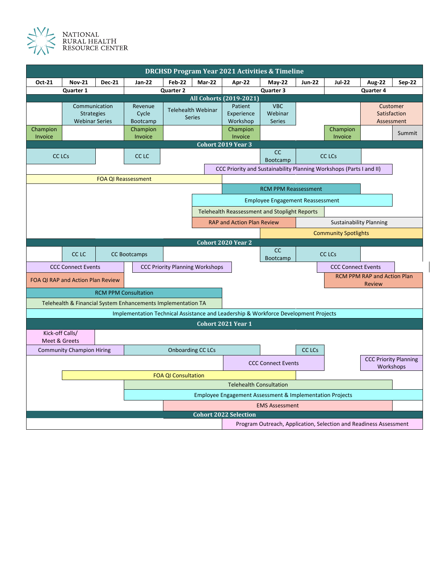

| <b>DRCHSD Program Year 2021 Activities &amp; Timeline</b>           |                                   |                          |                                                                                     |                                         |                                        |                                                           |                 |                             |                                                                   |               |                  |
|---------------------------------------------------------------------|-----------------------------------|--------------------------|-------------------------------------------------------------------------------------|-----------------------------------------|----------------------------------------|-----------------------------------------------------------|-----------------|-----------------------------|-------------------------------------------------------------------|---------------|------------------|
| Oct-21                                                              | <b>Nov-21</b>                     | <b>Dec-21</b>            | <b>Jan-22</b>                                                                       | <b>Feb-22</b>                           | Mar-22                                 | Apr-22                                                    | $May-22$        | <b>Jun-22</b>               | <b>Jul-22</b>                                                     | <b>Aug-22</b> | Sep-22           |
|                                                                     | Quarter 1                         |                          |                                                                                     | Quarter 2                               |                                        |                                                           | Quarter 3       |                             |                                                                   | Quarter 4     |                  |
| All Cohorts (2019-2021)                                             |                                   |                          |                                                                                     |                                         |                                        |                                                           |                 |                             |                                                                   |               |                  |
|                                                                     | Communication                     |                          | Revenue                                                                             | <b>Telehealth Webinar</b>               |                                        | Patient                                                   | <b>VBC</b>      |                             |                                                                   | Customer      |                  |
|                                                                     | <b>Strategies</b>                 |                          | Cycle                                                                               | <b>Series</b>                           |                                        | Experience                                                | Webinar         |                             |                                                                   | Satisfaction  |                  |
|                                                                     | <b>Webinar Series</b>             |                          | Bootcamp                                                                            |                                         |                                        | Workshop                                                  | Series          |                             |                                                                   | Assessment    |                  |
| Champion                                                            |                                   |                          | Champion                                                                            |                                         |                                        | Champion                                                  |                 |                             | Champion                                                          |               | Summit           |
|                                                                     | Invoice                           |                          | Invoice                                                                             |                                         |                                        | Invoice                                                   |                 |                             | Invoice                                                           |               |                  |
| Cohort 2019 Year 3                                                  |                                   |                          |                                                                                     |                                         |                                        |                                                           |                 |                             |                                                                   |               |                  |
| <b>CC LCs</b>                                                       |                                   |                          | CC <sub>LC</sub>                                                                    |                                         |                                        |                                                           | cc              |                             | <b>CC LCs</b>                                                     |               |                  |
|                                                                     |                                   |                          |                                                                                     |                                         |                                        |                                                           | <b>Bootcamp</b> |                             |                                                                   |               |                  |
| CCC Priority and Sustainability Planning Workshops (Parts I and II) |                                   |                          |                                                                                     |                                         |                                        |                                                           |                 |                             |                                                                   |               |                  |
| <b>FOA QI Reassessment</b>                                          |                                   |                          |                                                                                     |                                         |                                        |                                                           |                 |                             |                                                                   |               |                  |
|                                                                     |                                   |                          |                                                                                     |                                         |                                        | <b>RCM PPM Reassessment</b>                               |                 |                             |                                                                   |               |                  |
|                                                                     |                                   |                          |                                                                                     |                                         |                                        |                                                           |                 |                             |                                                                   |               |                  |
|                                                                     |                                   |                          |                                                                                     | <b>Employee Engagement Reassessment</b> |                                        |                                                           |                 |                             |                                                                   |               |                  |
|                                                                     |                                   |                          |                                                                                     |                                         |                                        | <b>Telehealth Reassessment and Stoplight Reports</b>      |                 |                             |                                                                   |               |                  |
|                                                                     |                                   |                          |                                                                                     |                                         |                                        | <b>RAP and Action Plan Review</b>                         |                 |                             | <b>Sustainability Planning</b>                                    |               |                  |
|                                                                     |                                   |                          |                                                                                     |                                         |                                        |                                                           |                 | <b>Community Spotlights</b> |                                                                   |               |                  |
|                                                                     |                                   |                          |                                                                                     |                                         |                                        | <b>Cohort 2020 Year 2</b>                                 |                 |                             |                                                                   |               |                  |
|                                                                     | CC <sub>LC</sub>                  |                          |                                                                                     | <b>CC Bootcamps</b>                     |                                        |                                                           | cc<br>Bootcamp  |                             | <b>CC LCs</b>                                                     |               |                  |
|                                                                     | <b>CCC Connect Events</b>         |                          |                                                                                     |                                         | <b>CCC Priority Planning Workshops</b> |                                                           |                 |                             | <b>CCC Connect Events</b>                                         |               |                  |
|                                                                     |                                   |                          |                                                                                     |                                         |                                        |                                                           |                 |                             | <b>RCM PPM RAP and Action Plan</b>                                |               |                  |
|                                                                     | FOA QI RAP and Action Plan Review |                          |                                                                                     |                                         |                                        |                                                           |                 |                             |                                                                   | <b>Review</b> |                  |
|                                                                     |                                   |                          | <b>RCM PPM Consultation</b>                                                         |                                         |                                        |                                                           |                 |                             |                                                                   |               |                  |
|                                                                     |                                   |                          | Telehealth & Financial System Enhancements Implementation TA                        |                                         |                                        |                                                           |                 |                             |                                                                   |               |                  |
|                                                                     |                                   |                          |                                                                                     |                                         |                                        |                                                           |                 |                             |                                                                   |               |                  |
|                                                                     |                                   |                          | Implementation Technical Assistance and Leadership & Workforce Development Projects |                                         |                                        |                                                           |                 |                             |                                                                   |               |                  |
|                                                                     |                                   |                          |                                                                                     |                                         |                                        | <b>Cohort 2021 Year 1</b>                                 |                 |                             |                                                                   |               |                  |
| Kick-off Calls/                                                     |                                   |                          |                                                                                     |                                         |                                        |                                                           |                 |                             |                                                                   |               |                  |
| Meet & Greets                                                       |                                   |                          |                                                                                     |                                         |                                        |                                                           |                 |                             |                                                                   |               |                  |
| <b>Community Champion Hiring</b>                                    |                                   | <b>Onboarding CC LCs</b> |                                                                                     |                                         |                                        |                                                           | <b>CC LCs</b>   |                             |                                                                   |               |                  |
|                                                                     |                                   |                          |                                                                                     |                                         |                                        | <b>CCC Priority Planning</b><br><b>CCC Connect Events</b> |                 |                             |                                                                   |               | <b>Workshops</b> |
|                                                                     |                                   |                          |                                                                                     | <b>FOA QI Consultation</b>              |                                        |                                                           |                 |                             |                                                                   |               |                  |
|                                                                     |                                   |                          | <b>Telehealth Consultation</b>                                                      |                                         |                                        |                                                           |                 |                             |                                                                   |               |                  |
|                                                                     |                                   |                          | Employee Engagement Assessment & Implementation Projects                            |                                         |                                        |                                                           |                 |                             |                                                                   |               |                  |
|                                                                     |                                   |                          |                                                                                     | <b>EMS Assessment</b>                   |                                        |                                                           |                 |                             |                                                                   |               |                  |
| <b>Cohort 2022 Selection</b>                                        |                                   |                          |                                                                                     |                                         |                                        |                                                           |                 |                             |                                                                   |               |                  |
|                                                                     |                                   |                          |                                                                                     |                                         |                                        |                                                           |                 |                             | Program Outreach, Application, Selection and Readiness Assessment |               |                  |